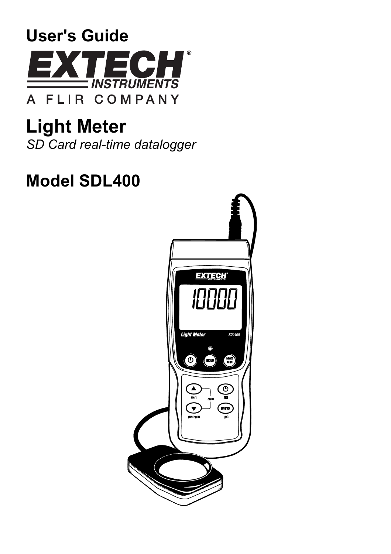

**Light Meter**  *SD Card real-time datalogger* 

# **Model SDL400**

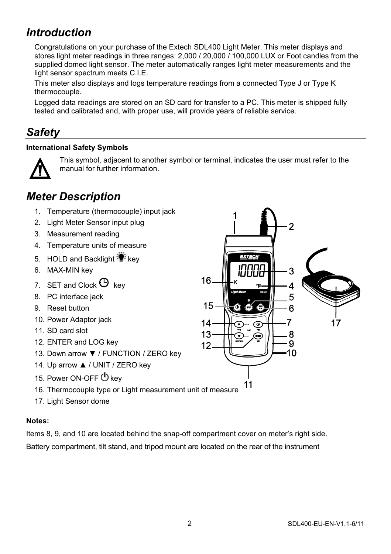### *Introduction*

Congratulations on your purchase of the Extech SDL400 Light Meter. This meter displays and stores light meter readings in three ranges: 2,000 / 20,000 / 100,000 LUX or Foot candles from the supplied domed light sensor. The meter automatically ranges light meter measurements and the light sensor spectrum meets C.I.E.

This meter also displays and logs temperature readings from a connected Type J or Type K thermocouple.

Logged data readings are stored on an SD card for transfer to a PC. This meter is shipped fully tested and calibrated and, with proper use, will provide years of reliable service.

### *Safety*

#### **International Safety Symbols**



This symbol, adjacent to another symbol or terminal, indicates the user must refer to the manual for further information.

### *Meter Description*

- 1. Temperature (thermocouple) input jack
- 2. Light Meter Sensor input plug
- 3. Measurement reading
- 4. Temperature units of measure
- 5. HOLD and Backlight  $\ddot{\ddot{\bullet}}$  key
- 6. MAX-MIN key
- 7. SET and Clock  $\Theta$  key
- 8. PC interface jack
- 9. Reset button
- 10. Power Adaptor jack
- 11. SD card slot
- 12. ENTER and LOG key
- 13. Down arrow ▼ / FUNCTION / ZERO key
- 14. Up arrow ▲ / UNIT / ZERO key
- 15. Power ON-OFF  $\Phi$  key
- 16. Thermocouple type or Light measurement unit of measure
- 17. Light Sensor dome

#### **Notes:**

Items 8, 9, and 10 are located behind the snap-off compartment cover on meter's right side. Battery compartment, tilt stand, and tripod mount are located on the rear of the instrument

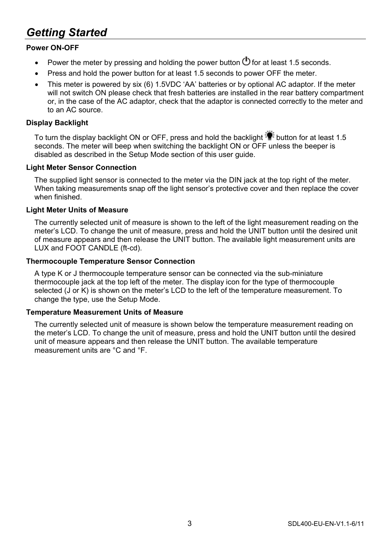### *Getting Started*

#### **Power ON-OFF**

- Power the meter by pressing and holding the power button  $\bigcirc$  for at least 1.5 seconds.
- Press and hold the power button for at least 1.5 seconds to power OFF the meter.
- This meter is powered by six (6) 1.5VDC 'AA' batteries or by optional AC adaptor. If the meter will not switch ON please check that fresh batteries are installed in the rear battery compartment or, in the case of the AC adaptor, check that the adaptor is connected correctly to the meter and to an AC source.

#### **Display Backlight**

To turn the display backlight ON or OFF, press and hold the backlight  $\ddot{\ddot{\bullet}}$  button for at least 1.5 seconds. The meter will beep when switching the backlight ON or OFF unless the beeper is disabled as described in the Setup Mode section of this user guide.

#### **Light Meter Sensor Connection**

The supplied light sensor is connected to the meter via the DIN jack at the top right of the meter. When taking measurements snap off the light sensor's protective cover and then replace the cover when finished.

#### **Light Meter Units of Measure**

The currently selected unit of measure is shown to the left of the light measurement reading on the meter's LCD. To change the unit of measure, press and hold the UNIT button until the desired unit of measure appears and then release the UNIT button. The available light measurement units are LUX and FOOT CANDLE (ft-cd).

#### **Thermocouple Temperature Sensor Connection**

A type K or J thermocouple temperature sensor can be connected via the sub-miniature thermocouple jack at the top left of the meter. The display icon for the type of thermocouple selected (J or K) is shown on the meter's LCD to the left of the temperature measurement. To change the type, use the Setup Mode.

#### **Temperature Measurement Units of Measure**

The currently selected unit of measure is shown below the temperature measurement reading on the meter's LCD. To change the unit of measure, press and hold the UNIT button until the desired unit of measure appears and then release the UNIT button. The available temperature measurement units are °C and °F.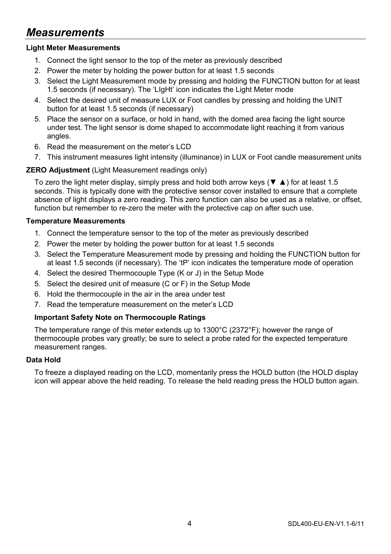### *Measurements*

#### **Light Meter Measurements**

- 1. Connect the light sensor to the top of the meter as previously described
- 2. Power the meter by holding the power button for at least 1.5 seconds
- 3. Select the Light Measurement mode by pressing and holding the FUNCTION button for at least 1.5 seconds (if necessary). The 'LIgHt' icon indicates the Light Meter mode
- 4. Select the desired unit of measure LUX or Foot candles by pressing and holding the UNIT button for at least 1.5 seconds (if necessary)
- 5. Place the sensor on a surface, or hold in hand, with the domed area facing the light source under test. The light sensor is dome shaped to accommodate light reaching it from various angles.
- 6. Read the measurement on the meter's LCD
- 7. This instrument measures light intensity (illuminance) in LUX or Foot candle measurement units

#### **ZERO Adjustment** (Light Measurement readings only)

To zero the light meter display, simply press and hold both arrow keys (▼ ▲) for at least 1.5 seconds. This is typically done with the protective sensor cover installed to ensure that a complete absence of light displays a zero reading. This zero function can also be used as a relative, or offset, function but remember to re-zero the meter with the protective cap on after such use.

#### **Temperature Measurements**

- 1. Connect the temperature sensor to the top of the meter as previously described
- 2. Power the meter by holding the power button for at least 1.5 seconds
- 3. Select the Temperature Measurement mode by pressing and holding the FUNCTION button for at least 1.5 seconds (if necessary). The 'tP' icon indicates the temperature mode of operation
- 4. Select the desired Thermocouple Type (K or J) in the Setup Mode
- 5. Select the desired unit of measure (C or F) in the Setup Mode
- 6. Hold the thermocouple in the air in the area under test
- 7. Read the temperature measurement on the meter's LCD

#### **Important Safety Note on Thermocouple Ratings**

The temperature range of this meter extends up to 1300°C (2372°F); however the range of thermocouple probes vary greatly; be sure to select a probe rated for the expected temperature measurement ranges.

#### **Data Hold**

To freeze a displayed reading on the LCD, momentarily press the HOLD button (the HOLD display icon will appear above the held reading. To release the held reading press the HOLD button again.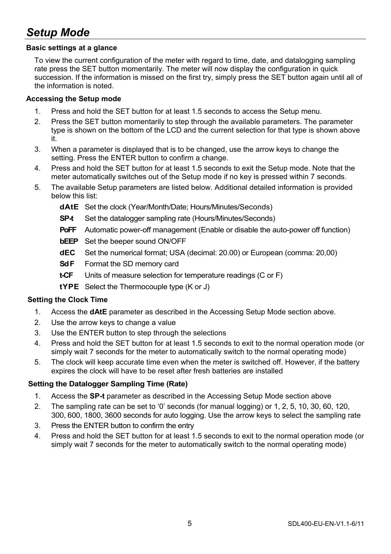### *Setup Mode*

#### **Basic settings at a glance**

To view the current configuration of the meter with regard to time, date, and datalogging sampling rate press the SET button momentarily. The meter will now display the configuration in quick succession. If the information is missed on the first try, simply press the SET button again until all of the information is noted.

#### **Accessing the Setup mode**

- 1. Press and hold the SET button for at least 1.5 seconds to access the Setup menu.
- 2. Press the SET button momentarily to step through the available parameters. The parameter type is shown on the bottom of the LCD and the current selection for that type is shown above it.
- 3. When a parameter is displayed that is to be changed, use the arrow keys to change the setting. Press the ENTER button to confirm a change.
- 4. Press and hold the SET button for at least 1.5 seconds to exit the Setup mode. Note that the meter automatically switches out of the Setup mode if no key is pressed within 7 seconds.
- 5. The available Setup parameters are listed below. Additional detailed information is provided below this list:
	- **dAtE** Set the clock (Year/Month/Date; Hours/Minutes/Seconds)
	- **SP-t** Set the datalogger sampling rate (Hours/Minutes/Seconds)
	- **PoFF** Automatic power-off management (Enable or disable the auto-power off function)
	- **bEEP** Set the beeper sound ON/OFF
	- **dEC** Set the numerical format; USA (decimal: 20.00) or European (comma: 20,00)
	- **Sd F** Format the SD memory card
	- **t-CF** Units of measure selection for temperature readings (C or F)
	- **tYPE** Select the Thermocouple type (K or J)

#### **Setting the Clock Time**

- 1. Access the **dAtE** parameter as described in the Accessing Setup Mode section above.
- 2. Use the arrow keys to change a value
- 3. Use the ENTER button to step through the selections
- 4. Press and hold the SET button for at least 1.5 seconds to exit to the normal operation mode (or simply wait 7 seconds for the meter to automatically switch to the normal operating mode)
- 5. The clock will keep accurate time even when the meter is switched off. However, if the battery expires the clock will have to be reset after fresh batteries are installed

#### **Setting the Datalogger Sampling Time (Rate)**

- 1. Access the **SP-t** parameter as described in the Accessing Setup Mode section above
- 2. The sampling rate can be set to '0' seconds (for manual logging) or 1, 2, 5, 10, 30, 60, 120, 300, 600, 1800, 3600 seconds for auto logging. Use the arrow keys to select the sampling rate
- 3. Press the ENTER button to confirm the entry
- 4. Press and hold the SET button for at least 1.5 seconds to exit to the normal operation mode (or simply wait 7 seconds for the meter to automatically switch to the normal operating mode)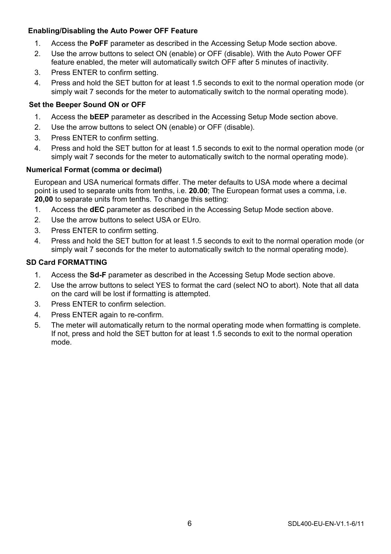#### **Enabling/Disabling the Auto Power OFF Feature**

- 1. Access the **PoFF** parameter as described in the Accessing Setup Mode section above.
- 2. Use the arrow buttons to select ON (enable) or OFF (disable). With the Auto Power OFF feature enabled, the meter will automatically switch OFF after 5 minutes of inactivity.
- 3. Press ENTER to confirm setting.
- 4. Press and hold the SET button for at least 1.5 seconds to exit to the normal operation mode (or simply wait 7 seconds for the meter to automatically switch to the normal operating mode).

#### **Set the Beeper Sound ON or OFF**

- 1. Access the **bEEP** parameter as described in the Accessing Setup Mode section above.
- 2. Use the arrow buttons to select ON (enable) or OFF (disable).
- 3. Press ENTER to confirm setting.
- 4. Press and hold the SET button for at least 1.5 seconds to exit to the normal operation mode (or simply wait 7 seconds for the meter to automatically switch to the normal operating mode).

#### **Numerical Format (comma or decimal)**

European and USA numerical formats differ. The meter defaults to USA mode where a decimal point is used to separate units from tenths, i.e. **20.00**; The European format uses a comma, i.e. **20,00** to separate units from tenths. To change this setting:

- 1. Access the **dEC** parameter as described in the Accessing Setup Mode section above.
- 2. Use the arrow buttons to select USA or EUro.
- 3. Press ENTER to confirm setting.
- 4. Press and hold the SET button for at least 1.5 seconds to exit to the normal operation mode (or simply wait 7 seconds for the meter to automatically switch to the normal operating mode).

#### **SD Card FORMATTING**

- 1. Access the **Sd-F** parameter as described in the Accessing Setup Mode section above.
- 2. Use the arrow buttons to select YES to format the card (select NO to abort). Note that all data on the card will be lost if formatting is attempted.
- 3. Press ENTER to confirm selection.
- 4. Press ENTER again to re-confirm.
- 5. The meter will automatically return to the normal operating mode when formatting is complete. If not, press and hold the SET button for at least 1.5 seconds to exit to the normal operation mode.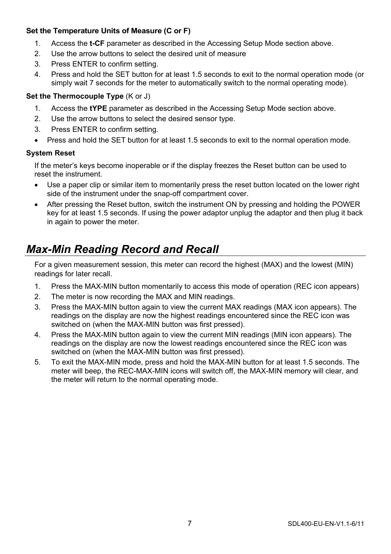#### **Set the Temperature Units of Measure (C or F)**

- 1. Access the **t-CF** parameter as described in the Accessing Setup Mode section above.
- 2. Use the arrow buttons to select the desired unit of measure
- 3. Press ENTER to confirm setting.
- 4. Press and hold the SET button for at least 1.5 seconds to exit to the normal operation mode (or simply wait 7 seconds for the meter to automatically switch to the normal operating mode).

#### **Set the Thermocouple Type** (K or J)

- 1. Access the **tYPE** parameter as described in the Accessing Setup Mode section above.
- 2. Use the arrow buttons to select the desired sensor type.
- 3. Press ENTER to confirm setting.
- Press and hold the SET button for at least 1.5 seconds to exit to the normal operation mode.

#### **System Reset**

If the meter's keys become inoperable or if the display freezes the Reset button can be used to reset the instrument.

- Use a paper clip or similar item to momentarily press the reset button located on the lower right side of the instrument under the snap-off compartment cover.
- After pressing the Reset button, switch the instrument ON by pressing and holding the POWER key for at least 1.5 seconds. If using the power adaptor unplug the adaptor and then plug it back in again to power the meter.

### *Max-Min Reading Record and Recall*

For a given measurement session, this meter can record the highest (MAX) and the lowest (MIN) readings for later recall.

- 1. Press the MAX-MIN button momentarily to access this mode of operation (REC icon appears)
- 2. The meter is now recording the MAX and MIN readings.
- 3. Press the MAX-MIN button again to view the current MAX readings (MAX icon appears). The readings on the display are now the highest readings encountered since the REC icon was switched on (when the MAX-MIN button was first pressed).
- 4. Press the MAX-MIN button again to view the current MIN readings (MIN icon appears). The readings on the display are now the lowest readings encountered since the REC icon was switched on (when the MAX-MIN button was first pressed).
- 5. To exit the MAX-MIN mode, press and hold the MAX-MIN button for at least 1.5 seconds. The meter will beep, the REC-MAX-MIN icons will switch off, the MAX-MIN memory will clear, and the meter will return to the normal operating mode.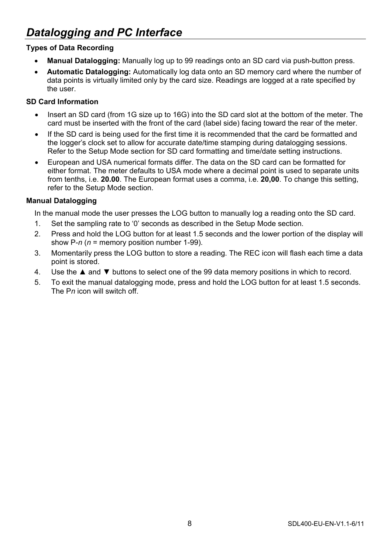### *Datalogging and PC Interface*

#### **Types of Data Recording**

- **Manual Datalogging:** Manually log up to 99 readings onto an SD card via push-button press.
- **Automatic Datalogging:** Automatically log data onto an SD memory card where the number of data points is virtually limited only by the card size. Readings are logged at a rate specified by the user.

#### **SD Card Information**

- Insert an SD card (from 1G size up to 16G) into the SD card slot at the bottom of the meter. The card must be inserted with the front of the card (label side) facing toward the rear of the meter.
- If the SD card is being used for the first time it is recommended that the card be formatted and the logger's clock set to allow for accurate date/time stamping during datalogging sessions. Refer to the Setup Mode section for SD card formatting and time/date setting instructions.
- European and USA numerical formats differ. The data on the SD card can be formatted for either format. The meter defaults to USA mode where a decimal point is used to separate units from tenths, i.e. **20.00**. The European format uses a comma, i.e. **20,00**. To change this setting, refer to the Setup Mode section.

#### **Manual Datalogging**

In the manual mode the user presses the LOG button to manually log a reading onto the SD card.

- 1. Set the sampling rate to '0' seconds as described in the Setup Mode section.
- 2. Press and hold the LOG button for at least 1.5 seconds and the lower portion of the display will show P-*n* (*n* = memory position number 1-99).
- 3. Momentarily press the LOG button to store a reading. The REC icon will flash each time a data point is stored.
- 4. Use the ▲ and ▼ buttons to select one of the 99 data memory positions in which to record.
- 5. To exit the manual datalogging mode, press and hold the LOG button for at least 1.5 seconds. The P*n* icon will switch off.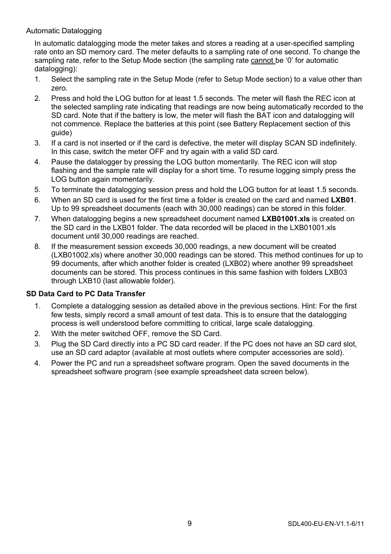#### Automatic Datalogging

In automatic datalogging mode the meter takes and stores a reading at a user-specified sampling rate onto an SD memory card. The meter defaults to a sampling rate of one second. To change the sampling rate, refer to the Setup Mode section (the sampling rate cannot be '0' for automatic datalogging):

- 1. Select the sampling rate in the Setup Mode (refer to Setup Mode section) to a value other than zero.
- 2. Press and hold the LOG button for at least 1.5 seconds. The meter will flash the REC icon at the selected sampling rate indicating that readings are now being automatically recorded to the SD card. Note that if the battery is low, the meter will flash the BAT icon and datalogging will not commence. Replace the batteries at this point (see Battery Replacement section of this guide)
- 3. If a card is not inserted or if the card is defective, the meter will display SCAN SD indefinitely. In this case, switch the meter OFF and try again with a valid SD card.
- 4. Pause the datalogger by pressing the LOG button momentarily. The REC icon will stop flashing and the sample rate will display for a short time. To resume logging simply press the LOG button again momentarily.
- 5. To terminate the datalogging session press and hold the LOG button for at least 1.5 seconds.
- 6. When an SD card is used for the first time a folder is created on the card and named **LXB01**. Up to 99 spreadsheet documents (each with 30,000 readings) can be stored in this folder.
- 7. When datalogging begins a new spreadsheet document named **LXB01001.xls** is created on the SD card in the LXB01 folder. The data recorded will be placed in the LXB01001.xls document until 30,000 readings are reached.
- 8. If the measurement session exceeds 30,000 readings, a new document will be created (LXB01002.xls) where another 30,000 readings can be stored. This method continues for up to 99 documents, after which another folder is created (LXB02) where another 99 spreadsheet documents can be stored. This process continues in this same fashion with folders LXB03 through LXB10 (last allowable folder).

#### **SD Data Card to PC Data Transfer**

- 1. Complete a datalogging session as detailed above in the previous sections. Hint: For the first few tests, simply record a small amount of test data. This is to ensure that the datalogging process is well understood before committing to critical, large scale datalogging.
- 2. With the meter switched OFF, remove the SD Card.
- 3. Plug the SD Card directly into a PC SD card reader. If the PC does not have an SD card slot, use an SD card adaptor (available at most outlets where computer accessories are sold).
- 4. Power the PC and run a spreadsheet software program. Open the saved documents in the spreadsheet software program (see example spreadsheet data screen below).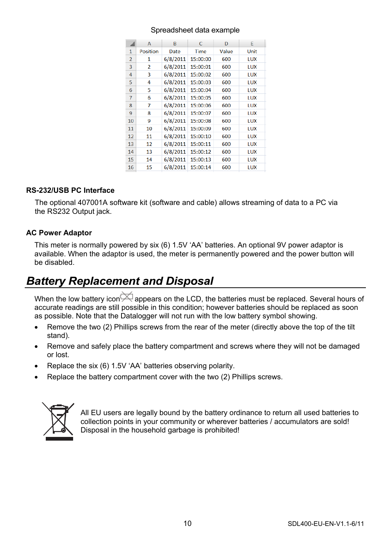#### Spreadsheet data example

|                | A                        | B        | C        | D     | E    |
|----------------|--------------------------|----------|----------|-------|------|
| 1              | <b>Position</b>          | Date     | Time     | Value | Unit |
| $\overline{a}$ | 1                        | 6/8/2011 | 15:00:00 | 600   | LUX  |
| 3              | $\overline{\phantom{a}}$ | 6/8/2011 | 15:00:01 | 600   | LUX  |
| $\overline{4}$ | 3                        | 6/8/2011 | 15:00:02 | 600   | LUX  |
| 5              | 4                        | 6/8/2011 | 15:00:03 | 600   | LUX  |
| 6              | 5                        | 6/8/2011 | 15:00:04 | 600   | LUX  |
| 7              | 6                        | 6/8/2011 | 15:00:05 | 600   | LUX  |
| 8              | 7                        | 6/8/2011 | 15:00:06 | 600   | LUX  |
| 9              | 8                        | 6/8/2011 | 15:00:07 | 600   | LUX  |
| 10             | 9                        | 6/8/2011 | 15:00:08 | 600   | LUX  |
| 11             | 10                       | 6/8/2011 | 15:00:09 | 600   | LUX  |
| 12             | 11                       | 6/8/2011 | 15:00:10 | 600   | LUX  |
| 13             | 12                       | 6/8/2011 | 15:00:11 | 600   | LUX  |
| 14             | 13                       | 6/8/2011 | 15:00:12 | 600   | LUX  |
| 15             | 14                       | 6/8/2011 | 15:00:13 | 600   | LUX  |
| 16             | 15                       | 6/8/2011 | 15:00:14 | 600   | LUX  |

#### **RS-232/USB PC Interface**

The optional 407001A software kit (software and cable) allows streaming of data to a PC via the RS232 Output jack.

#### **AC Power Adaptor**

This meter is normally powered by six (6) 1.5V 'AA' batteries. An optional 9V power adaptor is available. When the adaptor is used, the meter is permanently powered and the power button will be disabled.

### *Battery Replacement and Disposal*

When the low battery icon  $\bowtie$  appears on the LCD, the batteries must be replaced. Several hours of accurate readings are still possible in this condition; however batteries should be replaced as soon as possible. Note that the Datalogger will not run with the low battery symbol showing.

- Remove the two (2) Phillips screws from the rear of the meter (directly above the top of the tilt stand).
- Remove and safely place the battery compartment and screws where they will not be damaged or lost.
- Replace the six (6) 1.5V 'AA' batteries observing polarity.
- Replace the battery compartment cover with the two (2) Phillips screws.



All EU users are legally bound by the battery ordinance to return all used batteries to collection points in your community or wherever batteries / accumulators are sold! Disposal in the household garbage is prohibited!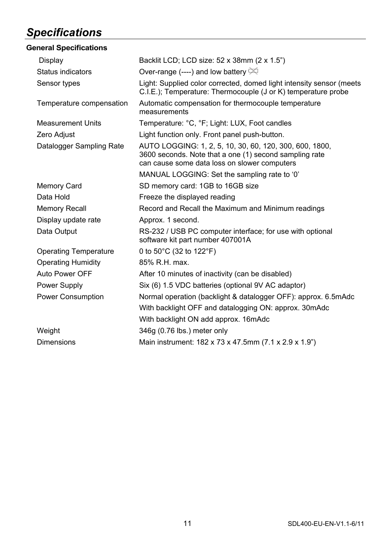## *Specifications*

| <b>General Specifications</b> |                                                                                                                                                                   |  |  |
|-------------------------------|-------------------------------------------------------------------------------------------------------------------------------------------------------------------|--|--|
| Display                       | Backlit LCD; LCD size: 52 x 38mm (2 x 1.5")                                                                                                                       |  |  |
| Status indicators             | Over-range (----) and low battery $\cong$                                                                                                                         |  |  |
| Sensor types                  | Light: Supplied color corrected, domed light intensity sensor (meets<br>C.I.E.); Temperature: Thermocouple (J or K) temperature probe                             |  |  |
| Temperature compensation      | Automatic compensation for thermocouple temperature<br>measurements                                                                                               |  |  |
| <b>Measurement Units</b>      | Temperature: °C, °F; Light: LUX, Foot candles                                                                                                                     |  |  |
| Zero Adjust                   | Light function only. Front panel push-button.                                                                                                                     |  |  |
| Datalogger Sampling Rate      | AUTO LOGGING: 1, 2, 5, 10, 30, 60, 120, 300, 600, 1800,<br>3600 seconds. Note that a one (1) second sampling rate<br>can cause some data loss on slower computers |  |  |
|                               | MANUAL LOGGING: Set the sampling rate to '0'                                                                                                                      |  |  |
| Memory Card                   | SD memory card: 1GB to 16GB size                                                                                                                                  |  |  |
| Data Hold                     | Freeze the displayed reading                                                                                                                                      |  |  |
| <b>Memory Recall</b>          | Record and Recall the Maximum and Minimum readings                                                                                                                |  |  |
| Display update rate           | Approx. 1 second.                                                                                                                                                 |  |  |
| Data Output                   | RS-232 / USB PC computer interface; for use with optional<br>software kit part number 407001A                                                                     |  |  |
| <b>Operating Temperature</b>  | 0 to 50 $^{\circ}$ C (32 to 122 $^{\circ}$ F)                                                                                                                     |  |  |
| <b>Operating Humidity</b>     | 85% R.H. max.                                                                                                                                                     |  |  |
| Auto Power OFF                | After 10 minutes of inactivity (can be disabled)                                                                                                                  |  |  |
| Power Supply                  | Six (6) 1.5 VDC batteries (optional 9V AC adaptor)                                                                                                                |  |  |
| Power Consumption             | Normal operation (backlight & datalogger OFF): approx. 6.5mAdc<br>With backlight OFF and datalogging ON: approx. 30mAdc                                           |  |  |
|                               | With backlight ON add approx. 16mAdc                                                                                                                              |  |  |
| Weight                        | 346g (0.76 lbs.) meter only                                                                                                                                       |  |  |
| Dimensions                    | Main instrument: 182 x 73 x 47.5mm (7.1 x 2.9 x 1.9")                                                                                                             |  |  |